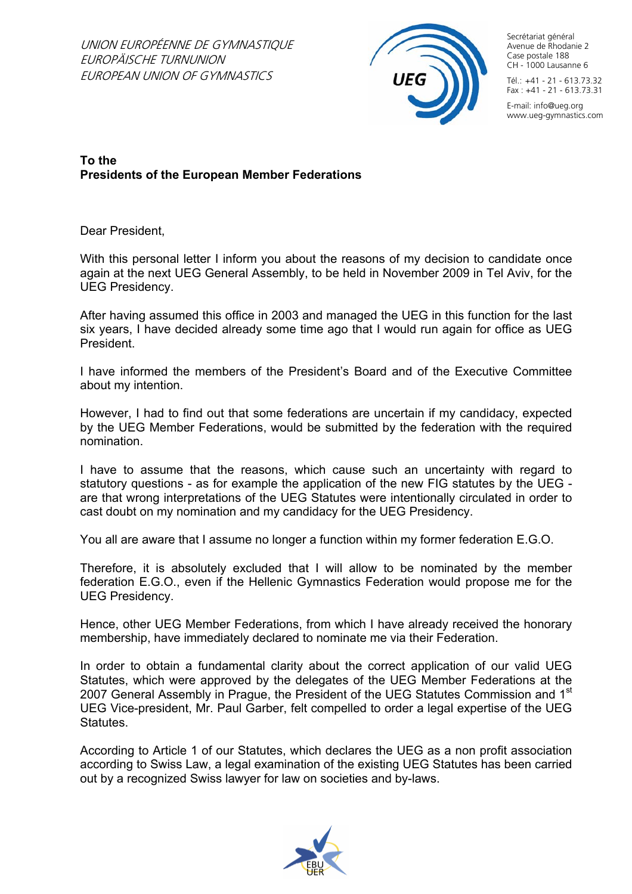

Secrétariat général Avenue de Rhodanie 2 Case postale 188 CH - 1000 Lausanne 6  $T4$ <sup>-</sup> $+41$  - 21 - 613.73.32  $Fax : +41 - 21 - 613.73.31$ 

E-mail: info@ueg.org www.ueg-gymnastics.com

## **To the Presidents of the European Member Federations**

Dear President,

With this personal letter I inform you about the reasons of my decision to candidate once again at the next UEG General Assembly, to be held in November 2009 in Tel Aviv, for the UEG Presidency.

After having assumed this office in 2003 and managed the UEG in this function for the last six years, I have decided already some time ago that I would run again for office as UEG President.

I have informed the members of the President's Board and of the Executive Committee about my intention.

However, I had to find out that some federations are uncertain if my candidacy, expected by the UEG Member Federations, would be submitted by the federation with the required nomination.

I have to assume that the reasons, which cause such an uncertainty with regard to statutory questions - as for example the application of the new FIG statutes by the UEG are that wrong interpretations of the UEG Statutes were intentionally circulated in order to cast doubt on my nomination and my candidacy for the UEG Presidency.

You all are aware that I assume no longer a function within my former federation E.G.O.

Therefore, it is absolutely excluded that I will allow to be nominated by the member federation E.G.O., even if the Hellenic Gymnastics Federation would propose me for the UEG Presidency.

Hence, other UEG Member Federations, from which I have already received the honorary membership, have immediately declared to nominate me via their Federation.

In order to obtain a fundamental clarity about the correct application of our valid UEG Statutes, which were approved by the delegates of the UEG Member Federations at the 2007 General Assembly in Prague, the President of the UEG Statutes Commission and 1<sup>st</sup> UEG Vice-president, Mr. Paul Garber, felt compelled to order a legal expertise of the UEG Statutes.

According to Article 1 of our Statutes, which declares the UEG as a non profit association according to Swiss Law, a legal examination of the existing UEG Statutes has been carried out by a recognized Swiss lawyer for law on societies and by-laws.